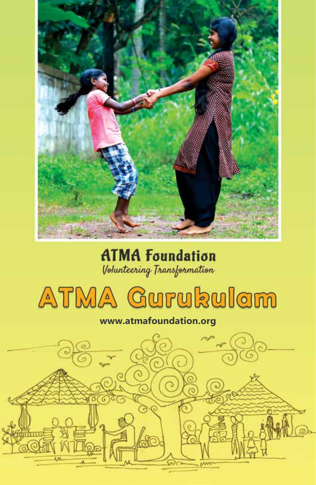

# **ATMA Foundation** Volunteering Transformation

# ATMA Gurukulam

## **www.atmafoundation.org**

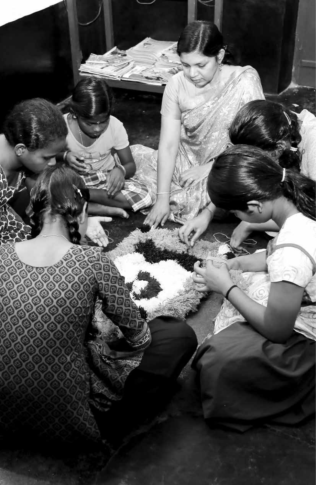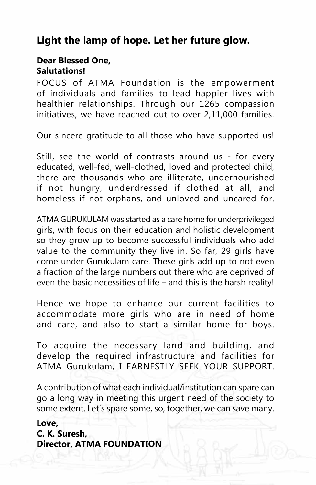## **Light the lamp of hope. Let her future glow.**

#### **Dear Blessed One, Salutations!**

FOCUS of ATMA Foundation is the empowerment of individuals and families to lead happier lives with healthier relationships. Through our 1265 compassion initiatives, we have reached out to over 2,11,000 families.

Our sincere gratitude to all those who have supported us!

Still, see the world of contrasts around us - for every educated, well-fed, well-clothed, loved and protected child, there are thousands who are illiterate, undernourished if not hungry, underdressed if clothed at all, and homeless if not orphans, and unloved and uncared for.

ATMA GURUKULAM was started as a care home for underprivileged girls, with focus on their education and holistic development so they grow up to become successful individuals who add value to the community they live in. So far, 29 girls have come under Gurukulam care. These girls add up to not even a fraction of the large numbers out there who are deprived of even the basic necessities of life – and this is the harsh reality!

Hence we hope to enhance our current facilities to accommodate more girls who are in need of home and care, and also to start a similar home for boys.

To acquire the necessary land and building, and develop the required infrastructure and facilities for ATMA Gurukulam, I EARNESTLY SEEK YOUR SUPPORT.

A contribution of what each individual/institution can spare can go a long way in meeting this urgent need of the society to some extent. Let's spare some, so, together, we can save many.

#### **Love, C. K. Suresh, Director, ATMA FOUNDATION**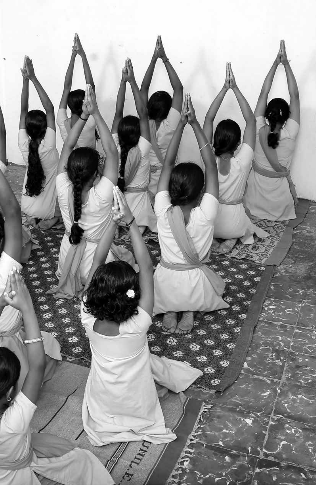![](_page_3_Picture_0.jpeg)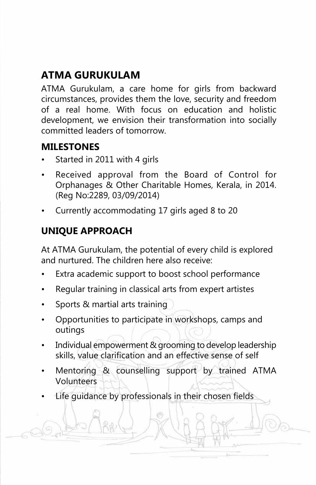## **ATMA GURUKULAM**

ATMA Gurukulam, a care home for girls from backward circumstances, provides them the love, security and freedom of a real home. With focus on education and holistic development, we envision their transformation into socially committed leaders of tomorrow.

## **MILESTONES**

- Started in 2011 with 4 girls
- Received approval from the Board of Control for Orphanages & Other Charitable Homes, Kerala, in 2014. (Reg No:2289, 03/09/2014)
- Currently accommodating 17 girls aged 8 to 20

## **UNIQUE APPROACH**

At ATMA Gurukulam, the potential of every child is explored and nurtured. The children here also receive:

- Extra academic support to boost school performance
- Regular training in classical arts from expert artistes
- Sports & martial arts training
- Opportunities to participate in workshops, camps and outings
- Individual empowerment & grooming to develop leadership skills, value clarification and an effective sense of self
- Mentoring & counselling support by trained ATMA Volunteers
- Life quidance by professionals in their chosen fields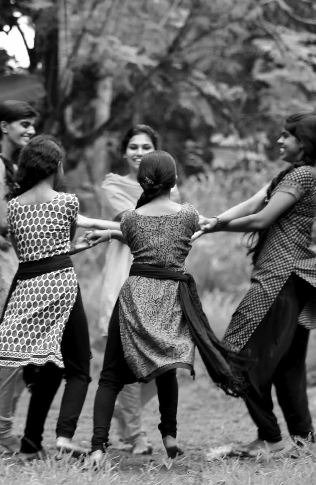![](_page_5_Picture_0.jpeg)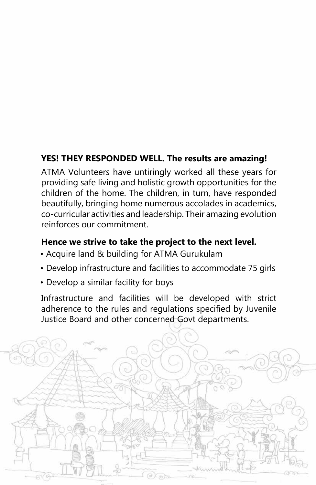## **YES! THEY RESPONDED WELL. The results are amazing!**

ATMA Volunteers have untiringly worked all these years for providing safe living and holistic growth opportunities for the children of the home. The children, in turn, have responded beautifully, bringing home numerous accolades in academics, co-curricular activities and leadership. Their amazing evolution reinforces our commitment.

#### **Hence we strive to take the project to the next level.**

- Acquire land & building for ATMA Gurukulam
- Develop infrastructure and facilities to accommodate 75 girls
- Develop a similar facility for boys

Infrastructure and facilities will be developed with strict adherence to the rules and regulations specified by Juvenile Justice Board and other concerned Govt departments.

![](_page_6_Picture_7.jpeg)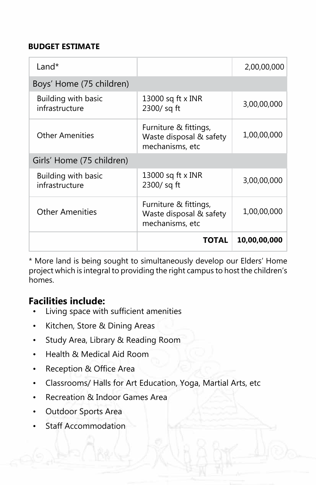#### **BUDGET ESTIMATE**

| $Land*$                               |                                                                     | 2,00,00,000  |
|---------------------------------------|---------------------------------------------------------------------|--------------|
| Boys' Home (75 children)              |                                                                     |              |
| Building with basic<br>infrastructure | 13000 sq ft $x$ INR<br>2300/sq ft                                   | 3,00,00,000  |
| <b>Other Amenities</b>                | Furniture & fittings,<br>Waste disposal & safety<br>mechanisms, etc | 1,00,00,000  |
| Girls' Home (75 children)             |                                                                     |              |
| Building with basic<br>infrastructure | 13000 sq ft x INR<br>2300/sq ft                                     | 3,00,00,000  |
| <b>Other Amenities</b>                | Furniture & fittings,<br>Waste disposal & safety<br>mechanisms, etc | 1,00,00,000  |
|                                       | ΤΟΤΑL                                                               | 10,00,00,000 |

\* More land is being sought to simultaneously develop our Elders' Home project which is integral to providing the right campus to host the children's homes.

## **Facilities include:**

- Living space with sufficient amenities
- Kitchen, Store & Dining Areas
- Study Area, Library & Reading Room
- Health & Medical Aid Room
- Reception & Office Area
- Classrooms/ Halls for Art Education, Yoga, Martial Arts, etc
- Recreation & Indoor Games Area
- Outdoor Sports Area
- Staff Accommodation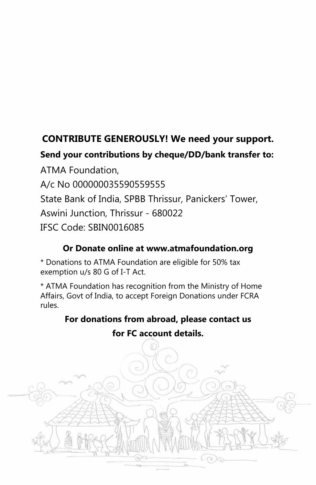## **CONTRIBUTE GENEROUSLY! We need your support.**

## **Send your contributions by cheque/DD/bank transfer to:**

ATMA Foundation, A/c No 000000035590559555 State Bank of India, SPBB Thrissur, Panickers' Tower, Aswini Junction, Thrissur - 680022 IFSC Code: SBIN0016085

## **Or Donate online at www.atmafoundation.org**

\* Donations to ATMA Foundation are eligible for 50% tax exemption u/s 80 G of I-T Act.

\* ATMA Foundation has recognition from the Ministry of Home Affairs, Govt of India, to accept Foreign Donations under FCRA rules.

## **For donations from abroad, please contact us**

**for FC account details.**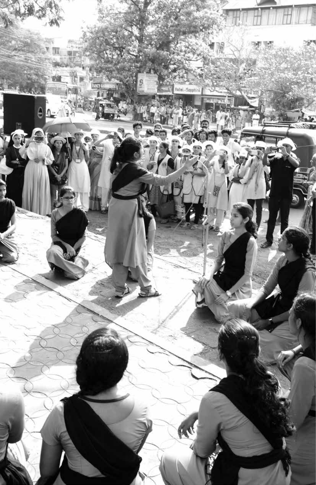![](_page_9_Picture_0.jpeg)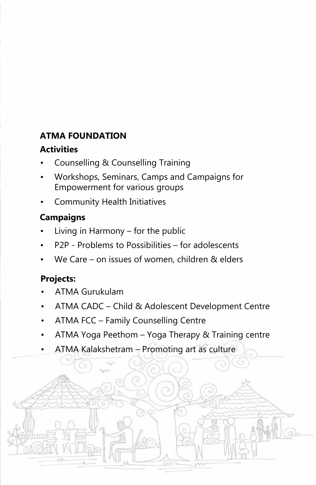## **ATMA FOUNDATION**

## **Activities**

- Counselling & Counselling Training
- Workshops, Seminars, Camps and Campaigns for Empowerment for various groups
- Community Health Initiatives

## **Campaigns**

- Living in Harmony  $-$  for the public
- P2P Problems to Possibilities for adolescents
- We Care on issues of women, children & elders

## **Projects:**

- ATMA Gurukulam
- ATMA CADC Child & Adolescent Development Centre
- ATMA FCC Family Counselling Centre
- ATMA Yoga Peethom Yoga Therapy & Training centre
- ATMA Kalakshetram Promoting art as culture